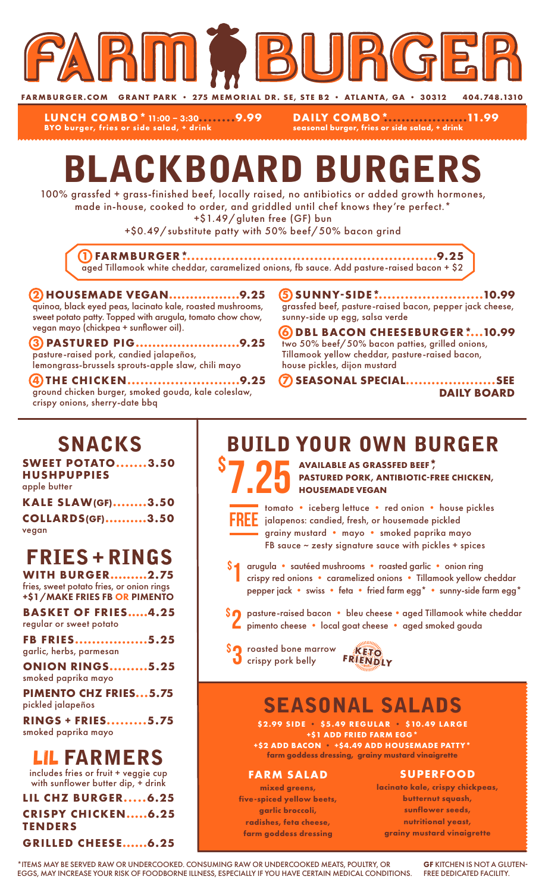

**LUNCH COMBO\***11:00 – 3:30**........9.99 BYO burger, fries or side salad, + drink**

**DAILY COMBO\*...................11.99 seasonal burger, fries or side salad, + drink**

# BLACKBOARD BURGERS

100% grassfed + grass-finished beef, locally raised, no antibiotics or added growth hormones, made in-house, cooked to order, and griddled until chef knows they're perfect.\*

+\$1.49/gluten free (GF) bun

+\$0.49/substitute patty with 50% beef/50% bacon grind

**1 FARMBURGER\*..........................................................9.25** aged Tillamook white cheddar, caramelized onions, fb sauce. Add pasture-raised bacon + \$2

#### **2 HOUSEMADE VEGAN.................9.25** quinoa, black eyed peas, lacinato kale, roasted mushrooms, sweet potato patty. Topped with arugula, tomato chow chow, vegan mayo (chickpea + sunflower oil).

**3 PASTURED PIG.........................9.25** pasture-raised pork, candied jalapeños, lemongrass-brussels sprouts-apple slaw, chili mayo

**4 THE CHICKEN..........................9.25** ground chicken burger, smoked gouda, kale coleslaw, crispy onions, sherry-date bbq

**5 SUNNY-SIDE\*.........................10.99** grassfed beef, pasture-raised bacon, pepper jack cheese, sunny-side up egg, salsa verde

**6 DBL BACON CHEESEBURGER\*....10.99** two 50% beef/50% bacon patties, grilled onions, Tillamook yellow cheddar, pasture-raised bacon, house pickles, dijon mustard

**7 SEASONAL SPECIAL.....................SEE DAILY BOARD**

### SNACKS

**SWEET POTATO.......3.50 HUSHPUPPIES** apple butter

| <b>KALE SLAW(GF)3.50</b> |  |
|--------------------------|--|
| <b>COLLARDS(GF)3.50</b>  |  |
| vegan                    |  |

## FRIES + RINGS

**WITH BURGER.........2.75** fries, sweet potato fries, or onion rings +\$1/MAKE FRIES FB OR PIMENTO

**BASKET OF FRIES.....4.25** regular or sweet potato

**FB FRIES.................5.25** garlic, herbs, parmesan

**ONION RINGS.........5.25** smoked paprika mayo

**PIMENTO CHZ FRIES...5.75** pickled jalapeños

**RINGS + FRIES.........5.75** smoked paprika mayo

### LIL FARMERS

includes fries or fruit + veggie cup with sunflower butter dip, + drink

**LIL CHZ BURGER.....6.25 CRISPY CHICKEN.....6.25 TENDERS GRILLED CHEESE......6.25**

### BUILD YOUR OWN BURGER

7.25 \$ **AVAILABLE AS GRASSFED BEEF\*, PASTURED PORK, ANTIBIOTIC-FREE CHICKEN, HOUSEMADE VEGAN**



\$

tomato • iceberg lettuce • red onion • house pickles jalapenos: candied, fresh, or housemade pickled grainy mustard • mayo • smoked paprika mayo FB sauce  $\sim$  zesty signature sauce with pickles + spices

- arugula sautéed mushrooms roasted garlic onion ring crispy red onions • caramelized onions • Tillamook yellow cheddar pepper jack • swiss • feta • fried farm egg\* • sunny-side farm egg\* 1
- \$2 pasture-raised bacon bleu cheese aged Tillamook white cheddar<br>Pimento cheese local goat cheese aged smoked gouda pimento cheese • local goat cheese • aged smoked gouda
- **SO** roasted bone marrow **KETO**<br> **O** crispy pork belly FRIENDLY



## SEASONAL SALADS

**\$2.99 SIDE • \$5.49 REGULAR • \$10.49 LARGE +\$1 ADD FRIED FARM EGG\* +\$2 ADD BACON • +\$4.49 ADD HOUSEMADE PATTY\***

**farm goddess dressing, grainy mustard vinaigrette**

#### **FARM SALAD**

**mixed greens, five-spiced yellow beets, garlic broccoli, radishes, feta cheese, farm goddess dressing**

#### **SUPERFOOD**

**lacinato kale, crispy chickpeas, butternut squash, sunflower seeds, nutritional yeast, grainy mustard vinaigrette**

\*ITEMS MAY BE SERVED RAW OR UNDERCOOKED. CONSUMING RAW OR UNDERCOOKED MEATS, POULTRY, OR EGGS, MAY INCREASE YOUR RISK OF FOODBORNE ILLNESS, ESPECIALLY IF YOU HAVE CERTAIN MEDICAL CONDITIONS.

GF KITCHEN IS NOT A GLUTEN-FREE DEDICATED FACILITY.